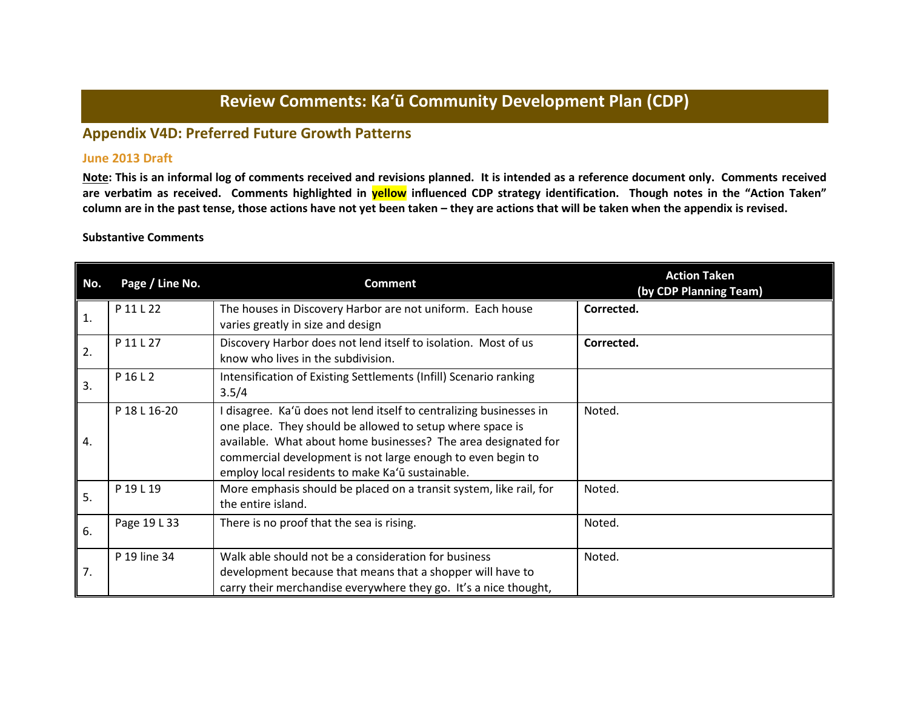# **Review Comments: Ka'ū Community Development Plan (CDP)**

## **Appendix V4D: Preferred Future Growth Patterns**

### **June 2013 Draft**

**Note: This is an informal log of comments received and revisions planned. It is intended as a reference document only. Comments received are verbatim as received. Comments highlighted in yellow influenced CDP strategy identification. Though notes in the "Action Taken" column are in the past tense, those actions have not yet been taken – they are actions that will be taken when the appendix is revised.**

#### **Substantive Comments**

| No.            | Page / Line No. | <b>Comment</b>                                                                                                                                                                                                                                                                                                        | <b>Action Taken</b><br>(by CDP Planning Team) |
|----------------|-----------------|-----------------------------------------------------------------------------------------------------------------------------------------------------------------------------------------------------------------------------------------------------------------------------------------------------------------------|-----------------------------------------------|
| $\mathbf{1}$ . | P 11 L 22       | The houses in Discovery Harbor are not uniform. Each house<br>varies greatly in size and design                                                                                                                                                                                                                       | Corrected.                                    |
| 2.             | P 11 L 27       | Discovery Harbor does not lend itself to isolation. Most of us<br>know who lives in the subdivision.                                                                                                                                                                                                                  | Corrected.                                    |
| 3.             | P 16 L 2        | Intensification of Existing Settlements (Infill) Scenario ranking<br>3.5/4                                                                                                                                                                                                                                            |                                               |
| 4.             | P 18 L 16-20    | I disagree. Ka'ū does not lend itself to centralizing businesses in<br>one place. They should be allowed to setup where space is<br>available. What about home businesses? The area designated for<br>commercial development is not large enough to even begin to<br>employ local residents to make Ka'ū sustainable. | Noted.                                        |
| 5.             | P 19 L 19       | More emphasis should be placed on a transit system, like rail, for<br>the entire island.                                                                                                                                                                                                                              | Noted.                                        |
| 6.             | Page 19 L 33    | There is no proof that the sea is rising.                                                                                                                                                                                                                                                                             | Noted.                                        |
| 7.             | P 19 line 34    | Walk able should not be a consideration for business<br>development because that means that a shopper will have to<br>carry their merchandise everywhere they go. It's a nice thought,                                                                                                                                | Noted.                                        |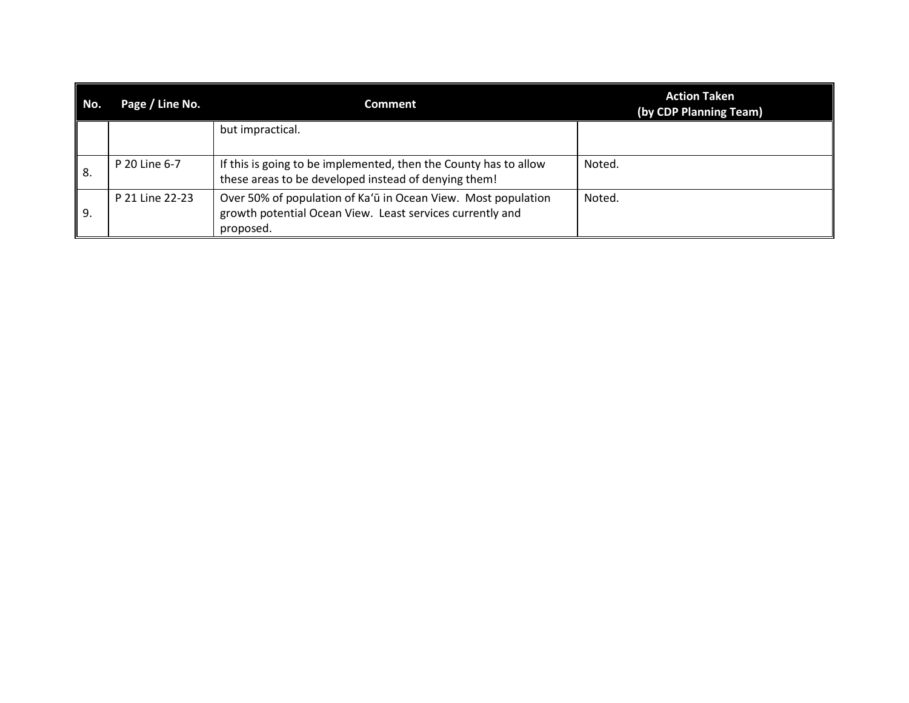| No.  | Page / Line No. | Comment                                                                                                                                 | <b>Action Taken</b><br>(by CDP Planning Team) |
|------|-----------------|-----------------------------------------------------------------------------------------------------------------------------------------|-----------------------------------------------|
|      |                 | but impractical.                                                                                                                        |                                               |
| l 8. | P 20 Line 6-7   | If this is going to be implemented, then the County has to allow<br>these areas to be developed instead of denying them!                | Noted.                                        |
| 9.   | P 21 Line 22-23 | Over 50% of population of Ka'ū in Ocean View. Most population<br>growth potential Ocean View. Least services currently and<br>proposed. | Noted.                                        |